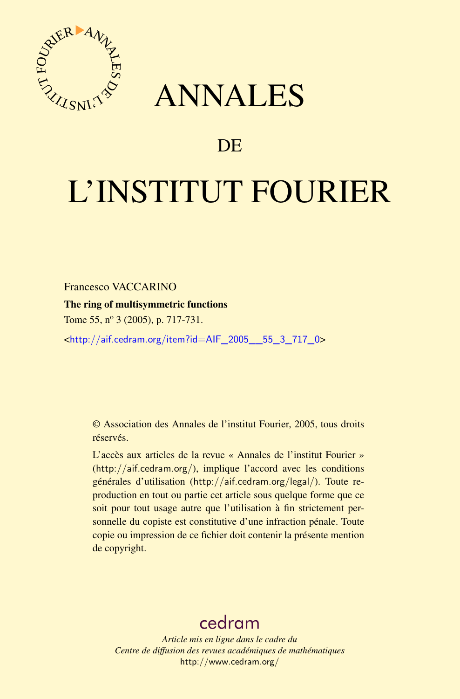



## DE

# L'INSTITUT FOURIER

Francesco VACCARINO

## The ring of multisymmetric functions

Tome 55, nº 3 (2005), p. 717-731.

<[http://aif.cedram.org/item?id=AIF\\_2005\\_\\_55\\_3\\_717\\_0](http://aif.cedram.org/item?id=AIF_2005__55_3_717_0)>

© Association des Annales de l'institut Fourier, 2005, tous droits réservés.

L'accès aux articles de la revue « Annales de l'institut Fourier » (<http://aif.cedram.org/>), implique l'accord avec les conditions générales d'utilisation (<http://aif.cedram.org/legal/>). Toute reproduction en tout ou partie cet article sous quelque forme que ce soit pour tout usage autre que l'utilisation à fin strictement personnelle du copiste est constitutive d'une infraction pénale. Toute copie ou impression de ce fichier doit contenir la présente mention de copyright.

# [cedram](http://www.cedram.org/)

*Article mis en ligne dans le cadre du Centre de diffusion des revues académiques de mathématiques* <http://www.cedram.org/>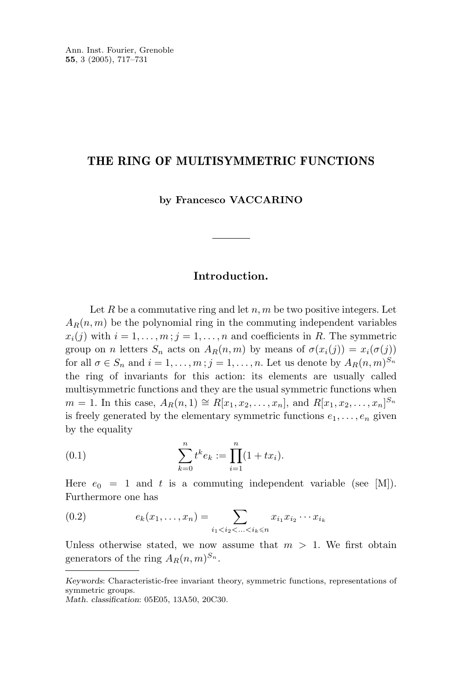#### **THE RING OF MULTISYMMETRIC FUNCTIONS**

**by Francesco VACCARINO**

### **Introduction.**

Let *R* be a commutative ring and let *n*, *m* be two positive integers. Let  $A_R(n,m)$  be the polynomial ring in the commuting independent variables  $x_i(j)$  with  $i = 1, \ldots, m; j = 1, \ldots, n$  and coefficients in *R*. The symmetric group on *n* letters  $S_n$  acts on  $A_R(n,m)$  by means of  $\sigma(x_i(j)) = x_i(\sigma(j))$ for all  $\sigma \in S_n$  and  $i = 1, \ldots, m; j = 1, \ldots, n$ . Let us denote by  $A_R(n, m)^{S_n}$ the ring of invariants for this action: its elements are usually called multisymmetric functions and they are the usual symmetric functions when *m* = 1. In this case,  $A_R(n, 1) \cong R[x_1, x_2, \ldots, x_n]$ , and  $R[x_1, x_2, \ldots, x_n]^{S_n}$ is freely generated by the elementary symmetric functions  $e_1, \ldots, e_n$  given by the equality

(0.1) 
$$
\sum_{k=0}^{n} t^{k} e_{k} := \prod_{i=1}^{n} (1 + tx_{i}).
$$

Here  $e_0 = 1$  and t is a commuting independent variable (see  $|M|$ ). Furthermore one has

(0.2) 
$$
e_k(x_1,...,x_n) = \sum_{i_1 < i_2 < ... < i_k \le n} x_{i_1} x_{i_2} \cdots x_{i_k}
$$

Unless otherwise stated, we now assume that  $m > 1$ . We first obtain generators of the ring  $A_R(n,m)^{S_n}$ .

*Keywords*: Characteristic-free invariant theory, symmetric functions, representations of symmetric groups.

*Math. classification*: 05E05, 13A50, 20C30.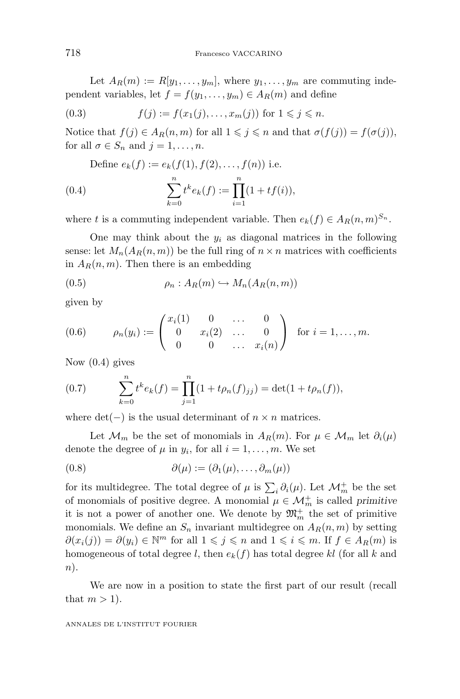Let  $A_R(m) := R[y_1, \ldots, y_m]$ , where  $y_1, \ldots, y_m$  are commuting independent variables, let  $f = f(y_1, \ldots, y_m) \in A_R(m)$  and define

(0.3) 
$$
f(j) := f(x_1(j),..., x_m(j))
$$
 for  $1 \le j \le n$ .

Notice that  $f(j) \in A_R(n,m)$  for all  $1 \leq j \leq n$  and that  $\sigma(f(j)) = f(\sigma(j)),$ for all  $\sigma \in S_n$  and  $j = 1, \ldots, n$ .

Define 
$$
e_k(f) := e_k(f(1), f(2),..., f(n))
$$
 i.e.  
(0.4) 
$$
\sum_{k=0}^n t^k e_k(f) := \prod_{i=1}^n (1 + tf(i)),
$$

where *t* is a commuting independent variable. Then  $e_k(f) \in A_R(n,m)^{S_n}$ .

One may think about the  $y_i$  as diagonal matrices in the following sense: let  $M_n(A_R(n,m))$  be the full ring of  $n \times n$  matrices with coefficients in  $A_R(n,m)$ . Then there is an embedding

$$
(0.5) \qquad \rho_n: A_R(m) \hookrightarrow M_n(A_R(n,m))
$$

given by

(0.6) 
$$
\rho_n(y_i) := \begin{pmatrix} x_i(1) & 0 & \dots & 0 \\ 0 & x_i(2) & \dots & 0 \\ 0 & 0 & \dots & x_i(n) \end{pmatrix} \text{ for } i = 1, \dots, m.
$$

Now (0.4) gives

(0.7) 
$$
\sum_{k=0}^{n} t^{k} e_{k}(f) = \prod_{j=1}^{n} (1 + t \rho_{n}(f)_{jj}) = \det(1 + t \rho_{n}(f)),
$$

where  $det(-)$  is the usual determinant of  $n \times n$  matrices.

Let  $\mathcal{M}_m$  be the set of monomials in  $A_R(m)$ . For  $\mu \in \mathcal{M}_m$  let  $\partial_i(\mu)$ denote the degree of  $\mu$  in  $y_i$ , for all  $i = 1, \ldots, m$ . We set

$$
(0.8) \qquad \partial(\mu) := (\partial_1(\mu), \dots, \partial_m(\mu))
$$

for its multidegree. The total degree of  $\mu$  is  $\sum_i \partial_i(\mu)$ . Let  $\mathcal{M}_m^+$  be the set of monomials of positive degree. A monomial  $\mu \in \mathcal{M}_m^+$  is called *primitive* it is not a power of another one. We denote by  $\mathfrak{M}_m^+$  the set of primitive monomials. We define an  $S_n$  invariant multidegree on  $A_R(n,m)$  by setting *∂*(*x*<sub>*i*</sub>(*j*)) = *∂*(*y*<sub>*i*</sub>) ∈ <sup>*Nm*</sup> for all  $1 \leqslant j \leqslant n$  and  $1 \leqslant i \leqslant m$ . If  $f \in A_R(m)$  is homogeneous of total degree *l*, then  $e_k(f)$  has total degree *kl* (for all *k* and *n*).

We are now in a position to state the first part of our result (recall that  $m > 1$ ).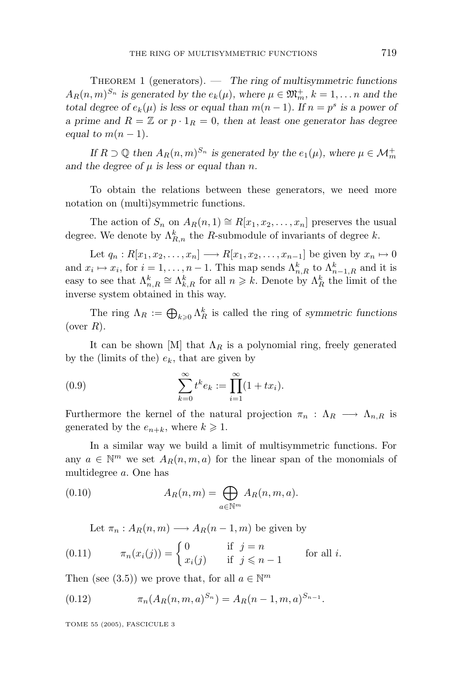Theorem 1 (generators). — *The ring of multisymmetric functions*  $A_R(n,m)^{S_n}$  *is generated by the*  $e_k(\mu)$ *, where*  $\mu \in \mathfrak{M}_m^+$ *,*  $k = 1, \ldots n$  *and the total degree of*  $e_k(\mu)$  *is less or equal than*  $m(n-1)$ *. If*  $n = p^s$  *is a power of a prime and*  $R = \mathbb{Z}$  *or*  $p \cdot 1_R = 0$ *, then at least one generator has degree equal to*  $m(n-1)$ *.* 

*If*  $R \supset \mathbb{Q}$  *then*  $A_R(n,m)^{S_n}$  *is generated by the*  $e_1(\mu)$ *, where*  $\mu \in \mathcal{M}_m^+$ and the degree of  $\mu$  is less or equal than *n*.

To obtain the relations between these generators, we need more notation on (multi)symmetric functions.

The action of  $S_n$  on  $A_R(n,1) \cong R[x_1, x_2, \ldots, x_n]$  preserves the usual degree. We denote by  $\Lambda_{R,n}^k$  the *R*-submodule of invariants of degree *k*.

Let  $q_n: R[x_1, x_2, \ldots, x_n] \longrightarrow R[x_1, x_2, \ldots, x_{n-1}]$  be given by  $x_n \mapsto 0$ and  $x_i \mapsto x_i$ , for  $i = 1, \ldots, n-1$ . This map sends  $\Lambda_{n,R}^k$  to  $\Lambda_{n-1,R}^k$  and it is easy to see that  $\Lambda_{n,R}^k \cong \Lambda_{k,R}^k$  for all  $n \geq k$ . Denote by  $\Lambda_R^k$  the limit of the inverse system obtained in this way.

The ring  $\Lambda_R := \bigoplus_{k \geqslant 0} \Lambda_R^k$  is called the ring of *symmetric functions* (over *R*).

It can be shown [M] that  $\Lambda_R$  is a polynomial ring, freely generated by the (limits of the)  $e_k$ , that are given by

(0.9) 
$$
\sum_{k=0}^{\infty} t^k e_k := \prod_{i=1}^{\infty} (1 + tx_i).
$$

Furthermore the kernel of the natural projection  $\pi_n$ :  $\Lambda_R \longrightarrow \Lambda_{n,R}$  is generated by the  $e_{n+k}$ , where  $k \geq 1$ .

In a similar way we build a limit of multisymmetric functions. For any  $a \in \mathbb{N}^m$  we set  $A_R(n, m, a)$  for the linear span of the monomials of multidegree *a*. One has

(0.10) 
$$
A_R(n,m) = \bigoplus_{a \in \mathbb{N}^m} A_R(n,m,a).
$$

Let  $\pi_n$ :  $A_R(n,m) \longrightarrow A_R(n-1,m)$  be given by

(0.11) 
$$
\pi_n(x_i(j)) = \begin{cases} 0 & \text{if } j = n \\ x_i(j) & \text{if } j \leq n-1 \end{cases}
$$
 for all *i*.

Then (see (3.5)) we prove that, for all  $a \in \mathbb{N}^m$ 

(0.12) 
$$
\pi_n(A_R(n,m,a)^{S_n}) = A_R(n-1,m,a)^{S_{n-1}}.
$$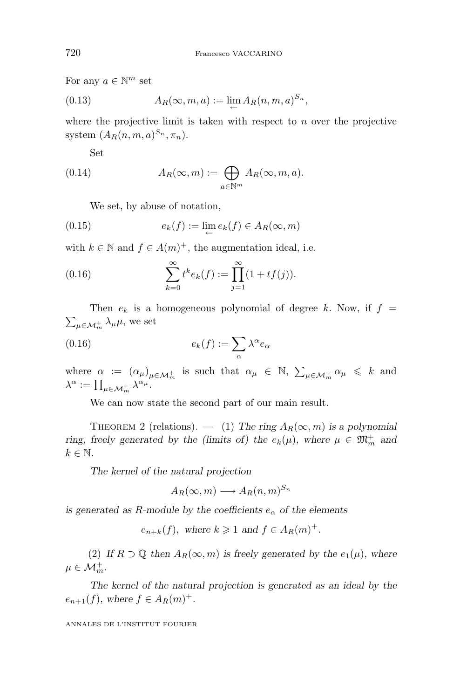For any  $a \in \mathbb{N}^m$  set

(0.13) 
$$
A_R(\infty, m, a) := \lim_{\leftarrow} A_R(n, m, a)^{S_n},
$$

where the projective limit is taken with respect to *n* over the projective system  $(A_R(n, m, a)^{S_n}, \pi_n)$ .

Set

(0.14) 
$$
A_R(\infty, m) := \bigoplus_{a \in \mathbb{N}^m} A_R(\infty, m, a).
$$

We set, by abuse of notation,

(0.15) 
$$
e_k(f) := \lim_{\leftarrow} e_k(f) \in A_R(\infty, m)
$$

with  $k \in \mathbb{N}$  and  $f \in A(m)^{+}$ , the augmentation ideal, i.e.

(0.16) 
$$
\sum_{k=0}^{\infty} t^k e_k(f) := \prod_{j=1}^{\infty} (1 + tf(j)).
$$

Then  $e_k$  is a homogeneous polynomial of degree k. Now, if  $f =$  $\sum_{\mu \in \mathcal{M}_m^+} \lambda_{\mu} \mu$ , we set

(0.16) 
$$
e_k(f) := \sum_{\alpha} \lambda^{\alpha} e_{\alpha}
$$

where  $\alpha := (\alpha_{\mu})_{\mu \in \mathcal{M}_m^+}$  is such that  $\alpha_{\mu} \in \mathbb{N}, \sum_{\mu \in \mathcal{M}_m^+} \alpha_{\mu} \leq k$  and  $\lambda^{\alpha} := \prod_{\mu \in \mathcal{M}_m^+} \lambda^{\alpha_{\mu}}.$ 

We can now state the second part of our main result.

THEOREM 2 (relations). — (1) The ring  $A_R(\infty, m)$  is a polynomial *ring, freely generated by the (limits of) the*  $e_k(\mu)$ *, where*  $\mu \in \mathfrak{M}_m^+$  and  $k \in \mathbb{N}$ .

*The kernel of the natural projection*

$$
A_R(\infty, m) \longrightarrow A_R(n,m)^{S_n}
$$

*is generated as R-module by the coefficients*  $e_{\alpha}$  *of the elements* 

 $e_{n+k}(f)$ *,* where  $k \ge 1$  *and*  $f \in A_R(m)^+$ *.* 

(2) If  $R \supset \mathbb{Q}$  then  $A_R(\infty, m)$  is freely generated by the  $e_1(\mu)$ , where  $\mu \in \mathcal{M}_m^+$ .

*The kernel of the natural projection is generated as an ideal by the*  $e_{n+1}(f)$ *, where*  $f \in A_R(m)^+$ *.*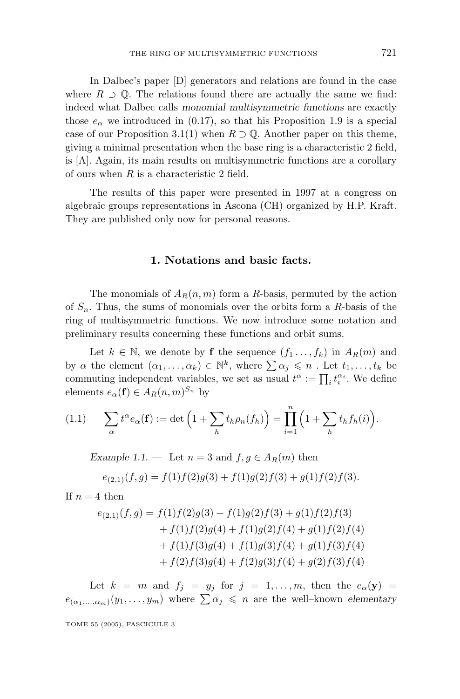In Dalbec's paper [D] generators and relations are found in the case where  $R \supset \mathbb{Q}$ . The relations found there are actually the same we find: indeed what Dalbec calls *monomial multisymmetric functions* are exactly those  $e_{\alpha}$  we introduced in (0.17), so that his Proposition 1.9 is a special case of our Proposition 3.1(1) when  $R \supset \mathbb{Q}$ . Another paper on this theme, giving a minimal presentation when the base ring is a characteristic 2 field, is [A]. Again, its main results on multisymmetric functions are a corollary of ours when *R* is a characteristic 2 field.

The results of this paper were presented in 1997 at a congress on algebraic groups representations in Ascona (CH) organized by H.P. Kraft. They are published only now for personal reasons.

#### **1. Notations and basic facts.**

The monomials of  $A_R(n,m)$  form a *R*-basis, permuted by the action of *Sn*. Thus, the sums of monomials over the orbits form a *R*-basis of the ring of multisymmetric functions. We now introduce some notation and preliminary results concerning these functions and orbit sums.

Let  $k \in \mathbb{N}$ , we denote by **f** the sequence  $(f_1 \ldots, f_k)$  in  $A_R(m)$  and by  $\alpha$  the element  $(\alpha_1, \ldots, \alpha_k) \in \mathbb{N}^k$ , where  $\sum \alpha_j \leq n$ . Let  $t_1, \ldots, t_k$  be commuting independent variables, we set as usual  $t^{\alpha} := \prod_i t_i^{\alpha_i}$ . We define elements  $e_{\alpha}(\mathbf{f}) \in A_R(n,m)^{S_n}$  by

$$
(1.1) \qquad \sum_{\alpha} t^{\alpha} e_{\alpha}(\mathbf{f}) := \det \left( 1 + \sum_{h} t_h \rho_n(f_h) \right) = \prod_{i=1}^{n} \left( 1 + \sum_{h} t_h f_h(i) \right).
$$

*Example 1.1.* — Let  $n = 3$  and  $f, g \in A_R(m)$  then

$$
e_{(2,1)}(f,g) = f(1)f(2)g(3) + f(1)g(2)f(3) + g(1)f(2)f(3).
$$

If  $n = 4$  then

$$
e_{(2,1)}(f,g) = f(1)f(2)g(3) + f(1)g(2)f(3) + g(1)f(2)f(3)
$$
  
+  $f(1)f(2)g(4) + f(1)g(2)f(4) + g(1)f(2)f(4)$   
+  $f(1)f(3)g(4) + f(1)g(3)f(4) + g(1)f(3)f(4)$   
+  $f(2)f(3)g(4) + f(2)g(3)f(4) + g(2)f(3)f(4)$ 

Let  $k = m$  and  $f_j = y_j$  for  $j = 1, \ldots, m$ , then the  $e_\alpha(\mathbf{y}) =$  $e_{(\alpha_1,\ldots,\alpha_m)}(y_1,\ldots,y_m)$  where  $\sum \alpha_j \leq n$  are the well–known *elementary*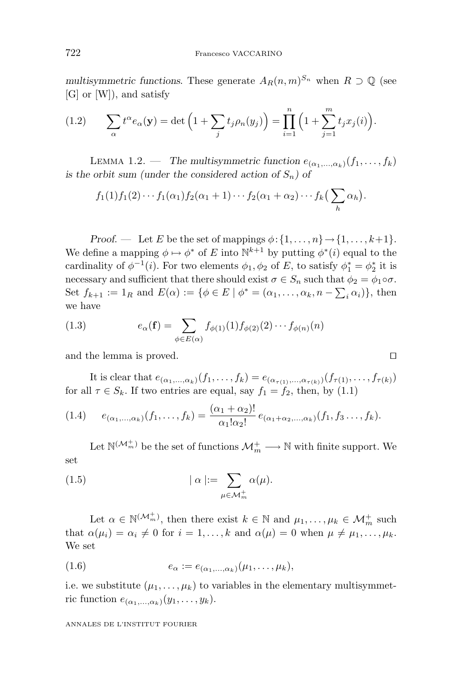*multisymmetric functions.* These generate  $A_R(n,m)^{S_n}$  when  $R \supset \mathbb{O}$  (see [G] or [W]), and satisfy

(1.2) 
$$
\sum_{\alpha} t^{\alpha} e_{\alpha}(\mathbf{y}) = \det \left( 1 + \sum_{j} t_{j} \rho_{n}(y_{j}) \right) = \prod_{i=1}^{n} \left( 1 + \sum_{j=1}^{m} t_{j} x_{j}(i) \right).
$$

LEMMA 1.2. — *The multisymmetric function*  $e_{(\alpha_1,\dots,\alpha_k)}(f_1,\dots,f_k)$ *is the orbit sum (under the considered action of*  $S_n$ ) of

$$
f_1(1)f_1(2)\cdots f_1(\alpha_1)f_2(\alpha_1+1)\cdots f_2(\alpha_1+\alpha_2)\cdots f_k\left(\sum_h \alpha_h\right).
$$

*Proof.* — Let *E* be the set of mappings  $\phi$ : {1,...,n}  $\rightarrow$  {1,...,k+1}. We define a mapping  $\phi \mapsto \phi^*$  of *E* into  $\mathbb{N}^{k+1}$  by putting  $\phi^*(i)$  equal to the cardinality of  $\phi^{-1}(i)$ . For two elements  $\phi_1, \phi_2$  of *E*, to satisfy  $\phi_1^* = \phi_2^*$  it is necessary and sufficient that there should exist  $\sigma \in S_n$  such that  $\phi_2 = \phi_1 \circ \sigma$ . Set  $f_{k+1} := 1_R$  and  $E(\alpha) := \{ \phi \in E \mid \phi^* = (\alpha_1, \dots, \alpha_k, n - \sum_i \alpha_i) \},\$  then we have

(1.3) 
$$
e_{\alpha}(\mathbf{f}) = \sum_{\phi \in E(\alpha)} f_{\phi(1)}(1) f_{\phi(2)}(2) \cdots f_{\phi(n)}(n)
$$

and the lemma is proved.

It is clear that  $e_{(\alpha_1,...,\alpha_k)}(f_1,...,f_k) = e_{(\alpha_{\tau(1)},...,\alpha_{\tau(k)})}(f_{\tau(1)},...,f_{\tau(k)})$ for all  $\tau \in S_k$ . If two entries are equal, say  $f_1 = f_2$ , then, by (1.1)

$$
(1.4) \qquad e_{(\alpha_1,\ldots,\alpha_k)}(f_1,\ldots,f_k) = \frac{(\alpha_1+\alpha_2)!}{\alpha_1!\alpha_2!} \, e_{(\alpha_1+\alpha_2,\ldots,\alpha_k)}(f_1,f_3\ldots,f_k).
$$

Let  $\mathbb{N}^{(\mathcal{M}_{m}^{+})}$  be the set of functions  $\mathcal{M}_{m}^{+} \longrightarrow \mathbb{N}$  with finite support. We set

(1.5) 
$$
|\alpha| := \sum_{\mu \in \mathcal{M}_m^+} \alpha(\mu).
$$

Let  $\alpha \in \mathbb{N}^{(\mathcal{M}_m^+)}$ , then there exist  $k \in \mathbb{N}$  and  $\mu_1, \ldots, \mu_k \in \mathcal{M}_m^+$  such that  $\alpha(\mu_i) = \alpha_i \neq 0$  for  $i = 1, \ldots, k$  and  $\alpha(\mu) = 0$  when  $\mu \neq \mu_1, \ldots, \mu_k$ . We set

$$
(1.6) \qquad \qquad e_{\alpha} := e_{(\alpha_1,\ldots,\alpha_k)}(\mu_1,\ldots,\mu_k),
$$

i.e. we substitute  $(\mu_1, \ldots, \mu_k)$  to variables in the elementary multisymmetric function  $e_{(\alpha_1,\ldots,\alpha_k)}(y_1,\ldots,y_k)$ .

$$
\Gamma
$$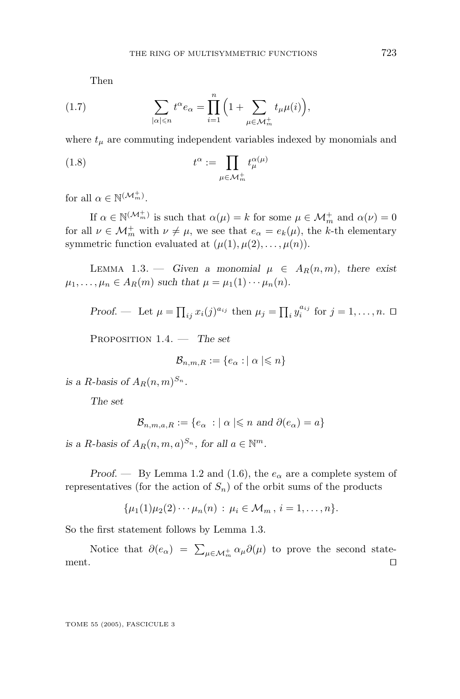Then

(1.7) 
$$
\sum_{|\alpha| \leqslant n} t^{\alpha} e_{\alpha} = \prod_{i=1}^{n} \Big( 1 + \sum_{\mu \in \mathcal{M}_m^+} t_{\mu} \mu(i) \Big),
$$

where  $t_{\mu}$  are commuting independent variables indexed by monomials and

(1.8) 
$$
t^{\alpha} := \prod_{\mu \in \mathcal{M}_m^+} t^{\alpha(\mu)}_{\mu}
$$

for all  $\alpha \in \mathbb{N}^{(\mathcal{M}_m^+)}$ .

If  $\alpha \in \mathbb{N}^{(\mathcal{M}_m^+)}$  is such that  $\alpha(\mu) = k$  for some  $\mu \in \mathcal{M}_m^+$  and  $\alpha(\nu) = 0$ for all  $\nu \in \mathcal{M}_m^+$  with  $\nu \neq \mu$ , we see that  $e_\alpha = e_k(\mu)$ , the *k*-th elementary symmetric function evaluated at  $(\mu(1), \mu(2), \ldots, \mu(n)).$ 

LEMMA 1.3. — *Given a monomial*  $\mu \in A_R(n,m)$ *, there exist*  $\mu_1, \ldots, \mu_n \in A_R(m)$  *such that*  $\mu = \mu_1(1) \cdots \mu_n(n)$ .

Proof. — Let 
$$
\mu = \prod_{ij} x_i(j)^{a_{ij}}
$$
 then  $\mu_j = \prod_i y_i^{a_{ij}}$  for  $j = 1, ..., n$ .  $\Box$ 

Proposition 1.4. — *The set*

$$
\mathcal{B}_{n,m,R} := \{e_{\alpha} : |\alpha| \leqslant n\}
$$

*is a R-basis of*  $A_R(n,m)^{S_n}$ .

*The set*

$$
\mathcal{B}_{n,m,a,R} := \{ e_{\alpha} : \mid \alpha \mid \leqslant n \text{ and } \partial(e_{\alpha}) = a \}
$$

*is a R*-basis of  $A_R(n, m, a)^{S_n}$ , for all  $a \in \mathbb{N}^m$ .

*Proof.* — By Lemma 1.2 and (1.6), the  $e_\alpha$  are a complete system of representatives (for the action of  $S_n$ ) of the orbit sums of the products

$$
\{\mu_1(1)\mu_2(2)\cdots\mu_n(n)\,:\,\mu_i\in\mathcal{M}_m\,,\,i=1,\ldots,n\}.
$$

So the first statement follows by Lemma 1.3.

Notice that  $\partial(e_{\alpha}) = \sum_{\mu \in \mathcal{M}_m^+} \alpha_{\mu} \partial(\mu)$  to prove the second statement.  $\Box$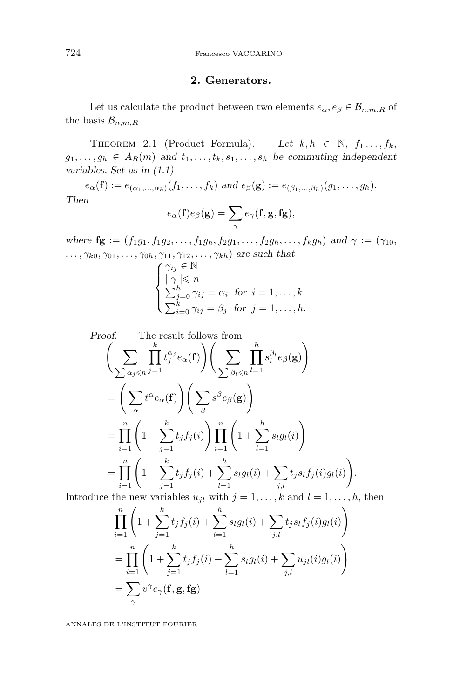#### **2. Generators.**

Let us calculate the product between two elements  $e_{\alpha}, e_{\beta} \in \mathcal{B}_{n,m,R}$  of the basis  $\mathcal{B}_{n,m,R}$ .

THEOREM 2.1 (Product Formula). — Let  $k, h \in \mathbb{N}$ ,  $f_1, \ldots, f_k$  $g_1, \ldots, g_h \in A_R(m)$  and  $t_1, \ldots, t_k, s_1, \ldots, s_h$  be commuting independent *variables. Set as in (1.1)*

 $e_{\alpha}(\mathbf{f}) := e_{(\alpha_1, \dots, \alpha_k)}(f_1, \dots, f_k)$  *and*  $e_{\beta}(\mathbf{g}) := e_{(\beta_1, \dots, \beta_k)}(g_1, \dots, g_k)$ . *Then*

$$
e_{\alpha}(\mathbf{f})e_{\beta}(\mathbf{g}) = \sum_{\gamma} e_{\gamma}(\mathbf{f}, \mathbf{g}, \mathbf{fg}),
$$

*where*  $\mathbf{fg} := (f_1g_1, f_1g_2, \ldots, f_1g_h, f_2g_1, \ldots, f_2g_h, \ldots, f_kg_h)$  and  $\gamma := (\gamma_{10},$ *...,γk*<sup>0</sup>*, γ*01*,...,γ*<sup>0</sup>*h, γ*11*, γ*12*,...,γkh*) *are such that*

$$
\begin{cases}\n\gamma_{ij} \in \mathbb{N} \\
|\gamma| \leq n \\
\sum_{j=0}^{h} \gamma_{ij} = \alpha_i \text{ for } i = 1, \dots, k \\
\sum_{i=0}^{k} \gamma_{ij} = \beta_j \text{ for } j = 1, \dots, h.\n\end{cases}
$$

*Proof* . — The result follows from  $\sqrt{5}$ *<sup>α</sup>j<sup>n</sup>* П *k j*=1  $t_j^{\alpha_j}e_{\alpha}({\bf f})\bigg)\bigg(-\sum_{j=1}^j\sum_{\alpha,\beta_j}$  $∑$  *β*<sub>*l*</sub> ≤*n* П *h l*=1  $s_l^{\beta_l}e_{\beta}(\mathbf{g})$  $\setminus$  $=\left(\sum\right)$ *α*  $t^{\alpha}e_{\alpha}(\mathbf{f})$   $\left(\sum_{n=1}^{\infty}$ *β*  $s^{\beta}e_{\beta}(\mathbf{g})$  $=\prod_{i=1}^n\Bigg($  $1+\sum_{k=1}^{k}$ *j*=1  $\left(t_j f_j(i)\right) \prod_{i=1}^n \Bigg($  $1+\sum_{i=1}^h$ *l*=1  $s_{l}g_{l}(i)$  $\setminus$  $=\prod_{i=1}^n\Bigg($  $1+\sum_{k=1}^{k}$ *j*=1  $t_j f_j(i) + \sum^h$ *l*=1  $s_{l}g_{l}(i) + \sum$ *j,l*  $t_j s_l f_j(i) g_l(i)$  $\setminus$ *.*

Introduce the new variables  $u_{jl}$  with  $j = 1, \ldots, k$  and  $l = 1, \ldots, h$ , then

$$
\prod_{i=1}^{n} \left( 1 + \sum_{j=1}^{k} t_j f_j(i) + \sum_{l=1}^{h} s_l g_l(i) + \sum_{j,l} t_j s_l f_j(i) g_l(i) \right)
$$
\n
$$
= \prod_{i=1}^{n} \left( 1 + \sum_{j=1}^{k} t_j f_j(i) + \sum_{l=1}^{h} s_l g_l(i) + \sum_{j,l} u_{jl}(i) g_l(i) \right)
$$
\n
$$
= \sum_{\gamma} v^{\gamma} e_{\gamma}(\mathbf{f}, \mathbf{g}, \mathbf{fg})
$$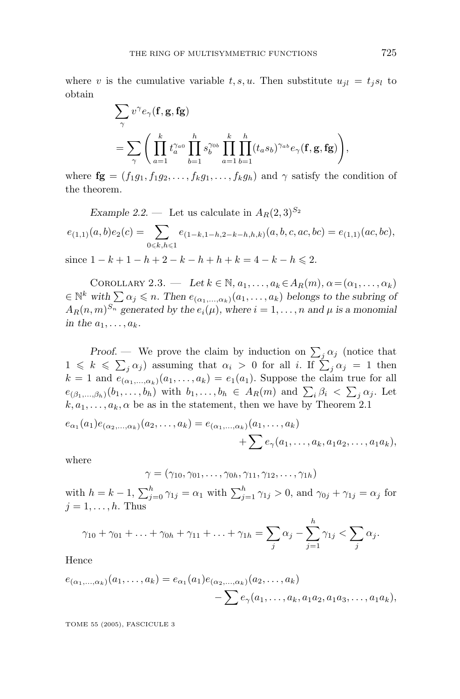where *v* is the cumulative variable *t*, *s*, *u*. Then substitute  $u_{il} = t_i s_l$  to obtain

$$
\begin{split} &\sum_{\gamma}v^{\gamma}e_{\gamma}(\mathbf{f},\mathbf{g},\mathbf{fg})\\ &=\sum_{\gamma}\Bigg(\prod_{a=1}^{k}t_a^{\gamma_{a0}}\prod_{b=1}^{h}s_b^{\gamma_{0b}}\prod_{a=1}^{k}\prod_{b=1}^{h}(t_as_b)^{\gamma_{ab}}e_{\gamma}(\mathbf{f},\mathbf{g},\mathbf{fg})\Bigg), \end{split}
$$

where  $\mathbf{fg} = (f_1g_1, f_1g_2, \ldots, f_kg_1, \ldots, f_kg_h)$  and  $\gamma$  satisfy the condition of the theorem.

Example 2.2. Let us calculate in 
$$
A_R(2,3)^{S_2}
$$
  
\n
$$
e_{(1,1)}(a,b)e_2(c) = \sum_{0 \le k,h \le 1} e_{(1-k,1-h,2-k-h,h,k)}(a,b,c,ac,bc) = e_{(1,1)}(ac,bc),
$$
\nsince  $1 - k + 1 - h + 2 - k - h + h + k = 4 - k - h \le 2$ .

COROLLARY 2.3. — Let  $k \in \mathbb{N}$ ,  $a_1, \ldots, a_k \in A_R(m)$ ,  $\alpha = (\alpha_1, \ldots, \alpha_k)$  $\in \mathbb{N}^k$  with  $\sum \alpha_j \leqslant n$ . Then  $e_{(\alpha_1,\ldots,\alpha_k)}(a_1,\ldots,a_k)$  belongs to the subring of  $A_R(n,m)^{S_n}$  generated by the  $e_i(\mu)$ , where  $i = 1, \ldots, n$  and  $\mu$  is a monomial *in the*  $a_1, \ldots, a_k$ *.* 

*Proof.* — We prove the claim by induction on  $\sum_j \alpha_j$  (notice that  $1 \le k \le \sum_j \alpha_j$  assuming that  $\alpha_i > 0$  for all *i*. If  $\sum_j \alpha_j = 1$  then  $k = 1$  and  $e_{(\alpha_1,\ldots,\alpha_k)}(a_1,\ldots,a_k) = e_1(a_1)$ . Suppose the claim true for all  $e_{(\beta_1,\ldots,\beta_h)}(b_1,\ldots,b_h)$  with  $b_1,\ldots,b_h \in A_R(m)$  and  $\sum_i \beta_i < \sum_j \alpha_j$ . Let  $k, a_1, \ldots, a_k, \alpha$  be as in the statement, then we have by Theorem 2.1

$$
e_{\alpha_1}(a_1)e_{(\alpha_2,...,\alpha_k)}(a_2,...,a_k) = e_{(\alpha_1,...,\alpha_k)}(a_1,...,a_k) + \sum e_{\gamma}(a_1,...,a_k,a_1a_2,...,a_1a_k),
$$

where

$$
\gamma = (\gamma_{10}, \gamma_{01}, \ldots, \gamma_{0h}, \gamma_{11}, \gamma_{12}, \ldots, \gamma_{1h})
$$

with  $h = k - 1$ ,  $\sum_{j=0}^{h} \gamma_{1j} = \alpha_1$  with  $\sum_{j=1}^{h} \gamma_{1j} > 0$ , and  $\gamma_{0j} + \gamma_{1j} = \alpha_j$  for  $j = 1, \ldots, h$ . Thus

$$
\gamma_{10} + \gamma_{01} + \ldots + \gamma_{0h} + \gamma_{11} + \ldots + \gamma_{1h} = \sum_{j} \alpha_j - \sum_{j=1}^{h} \gamma_{1j} < \sum_{j} \alpha_j.
$$

Hence

$$
e_{(\alpha_1,...,\alpha_k)}(a_1,...,a_k) = e_{\alpha_1}(a_1)e_{(\alpha_2,...,\alpha_k)}(a_2,...,a_k) - \sum e_{\gamma}(a_1,...,a_k,a_1a_2,a_1a_3,...,a_1a_k),
$$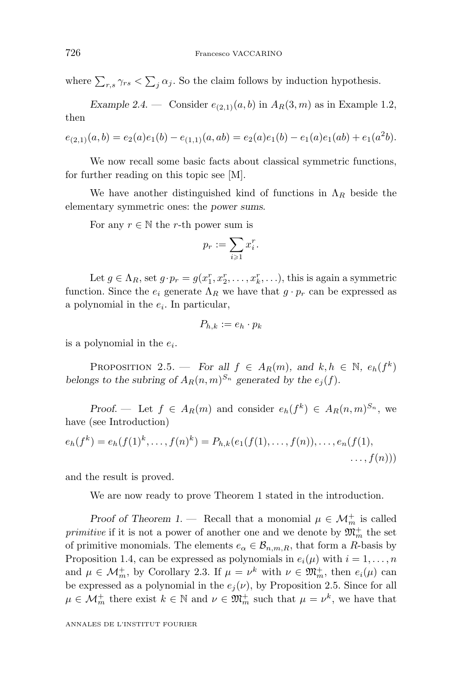where  $\sum_{r,s} \gamma_{rs} < \sum_{j} \alpha_j$ . So the claim follows by induction hypothesis.

*Example 2.4.* — Consider  $e_{(2,1)}(a,b)$  in  $A_R(3,m)$  as in Example 1.2, then

$$
e_{(2,1)}(a,b) = e_2(a)e_1(b) - e_{(1,1)}(a,ab) = e_2(a)e_1(b) - e_1(a)e_1(ab) + e_1(a^2b).
$$

We now recall some basic facts about classical symmetric functions, for further reading on this topic see [M].

We have another distinguished kind of functions in  $\Lambda_R$  beside the elementary symmetric ones: the *power sums*.

For any  $r \in \mathbb{N}$  the *r*-th power sum is

$$
p_r := \sum_{i \geqslant 1} x_i^r.
$$

Let  $g \in \Lambda_R$ , set  $g \cdot p_r = g(x_1^r, x_2^r, \ldots, x_k^r, \ldots)$ , this is again a symmetric function. Since the  $e_i$  generate  $\Lambda_R$  we have that  $g \cdot p_r$  can be expressed as a polynomial in the *ei*. In particular,

$$
P_{h,k} := e_h \cdot p_k
$$

is a polynomial in the *ei*.

PROPOSITION 2.5. — *For all*  $f \in A_R(m)$ , and  $k, h \in \mathbb{N}$ ,  $e_h(f^k)$ *belongs to the subring of*  $A_R(n,m)^{S_n}$  *generated by the*  $e_i(f)$ *.* 

*Proof.* — Let  $f \in A_R(m)$  and consider  $e_h(f^k) \in A_R(n,m)^{S_n}$ , we have (see Introduction)

$$
e_h(f^k) = e_h(f(1)^k, \dots, f(n)^k) = P_{h,k}(e_1(f(1), \dots, f(n)), \dots, e_n(f(1), \dots, f(n)))
$$
  
...,  $f(n)$ )

and the result is proved.

We are now ready to prove Theorem 1 stated in the introduction.

*Proof of Theorem 1.* — Recall that a monomial  $\mu \in \mathcal{M}_m^+$  is called *primitive* if it is not a power of another one and we denote by  $\mathfrak{M}_m^+$  the set of primitive monomials. The elements  $e_{\alpha} \in \mathcal{B}_{n,m,R}$ , that form a *R*-basis by Proposition 1.4, can be expressed as polynomials in  $e_i(\mu)$  with  $i = 1, \ldots, n$ and  $\mu \in \mathcal{M}_m^+$ , by Corollary 2.3. If  $\mu = \nu^k$  with  $\nu \in \mathfrak{M}_m^+$ , then  $e_i(\mu)$  can be expressed as a polynomial in the  $e_j(\nu)$ , by Proposition 2.5. Since for all  $\mu \in \mathcal{M}_m^+$  there exist  $k \in \mathbb{N}$  and  $\nu \in \mathfrak{M}_m^+$  such that  $\mu = \nu^k$ , we have that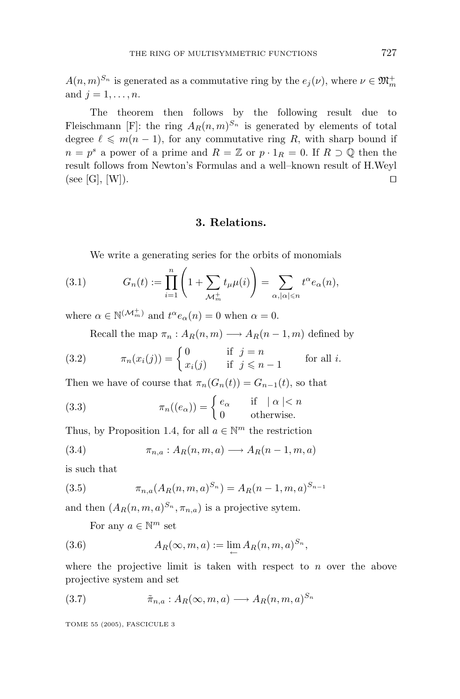$A(n, m)^{S_n}$  is generated as a commutative ring by the  $e_j(\nu)$ , where  $\nu \in \mathfrak{M}_m^+$ and  $j = 1, ..., n$ .

The theorem then follows by the following result due to Fleischmann [F]: the ring  $A_R(n,m)^{S_n}$  is generated by elements of total degree  $\ell \leq m(n-1)$ , for any commutative ring R, with sharp bound if  $n = p^s$  a power of a prime and  $R = \mathbb{Z}$  or  $p \cdot 1_R = 0$ . If  $R \supset \mathbb{Q}$  then the result follows from Newton's Formulas and a well–known result of H.Weyl  $(\text{see } [G], [W]).$ 

#### **3. Relations.**

We write a generating series for the orbits of monomials

(3.1) 
$$
G_n(t) := \prod_{i=1}^n \left(1 + \sum_{\mathcal{M}_m^+} t_\mu \mu(i)\right) = \sum_{\alpha, |\alpha| \le n} t^\alpha e_\alpha(n),
$$

where  $\alpha \in \mathbb{N}^{(\mathcal{M}_m^+)}$  and  $t^{\alpha}e_{\alpha}(n) = 0$  when  $\alpha = 0$ .

Recall the map  $\pi_n : A_R(n,m) \longrightarrow A_R(n-1,m)$  defined by

(3.2) 
$$
\pi_n(x_i(j)) = \begin{cases} 0 & \text{if } j = n \\ x_i(j) & \text{if } j \leq n-1 \end{cases}
$$
 for all *i*.

Then we have of course that  $\pi_n(G_n(t)) = G_{n-1}(t)$ , so that

(3.3) 
$$
\pi_n((e_\alpha)) = \begin{cases} e_\alpha & \text{if } |\alpha| < n \\ 0 & \text{otherwise.} \end{cases}
$$

Thus, by Proposition 1.4, for all  $a \in \mathbb{N}^m$  the restriction

(3.4) 
$$
\pi_{n,a}: A_R(n,m,a) \longrightarrow A_R(n-1,m,a)
$$

is such that

(3.5) 
$$
\pi_{n,a}(A_R(n,m,a)^{S_n}) = A_R(n-1,m,a)^{S_{n-1}}
$$

and then  $(A_R(n, m, a)^{S_n}, \pi_{n, a})$  is a projective sytem.

For any  $a \in \mathbb{N}^m$  set

(3.6) 
$$
A_R(\infty, m, a) := \lim_{\leftarrow} A_R(n, m, a)^{S_n},
$$

where the projective limit is taken with respect to *n* over the above projective system and set

(3.7) 
$$
\tilde{\pi}_{n,a}: A_R(\infty,m,a) \longrightarrow A_R(n,m,a)^{S_n}
$$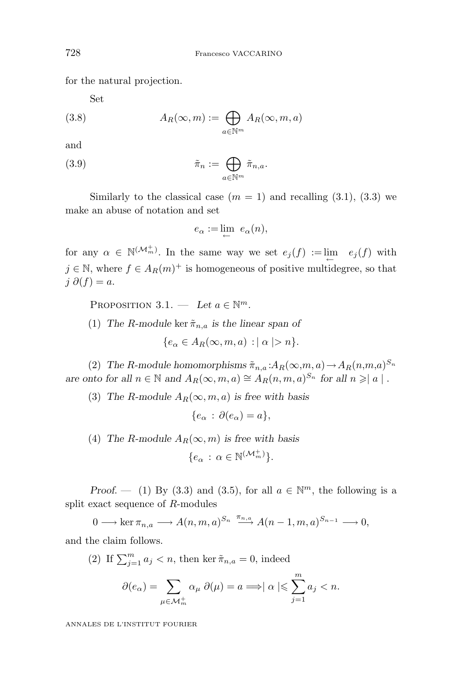for the natural projection.

Set

(3.8) 
$$
A_R(\infty, m) := \bigoplus_{a \in \mathbb{N}^m} A_R(\infty, m, a)
$$

and

(3.9) 
$$
\tilde{\pi}_n := \bigoplus_{a \in \mathbb{N}^m} \tilde{\pi}_{n,a}.
$$

Similarly to the classical case  $(m = 1)$  and recalling  $(3.1)$ ,  $(3.3)$  we make an abuse of notation and set

$$
e_{\alpha} := \lim_{\leftarrow} e_{\alpha}(n),
$$

for any  $\alpha \in \mathbb{N}^{(\mathcal{M}_m^+)}$ . In the same way we set  $e_j(f) := \lim_{\leftarrow} e_j(f)$  with  $j \in \mathbb{N}$ , where  $f \in A_R(m)^+$  is homogeneous of positive multidegree, so that *j ∂*(*f*) = *a*.

PROPOSITION 3.1. — Let  $a \in \mathbb{N}^m$ .

(1) *The R-module* ker  $\tilde{\pi}_{n,a}$  *is the linear span of* {*e<sup>α</sup>* ∈ *AR*(∞*, m, a*) : | *α* |*> n*}*.*

$$
\{e_{\alpha} \in A_R(\infty, m, a) : |\alpha| > n\}.
$$

(2) *The R-module homomorphisms*  $\tilde{\pi}_{n,a}$  : $A_R(\infty,m,a) \to A_R(n,m,a)^{S_n}$ *are onto for all*  $n \in \mathbb{N}$  *and*  $A_R(\infty, m, a) \cong A_R(n, m, a)^{S_n}$  *for all*  $n \geq |a|$ *.* 

(3) *The R-module*  $A_R(\infty, m, a)$  *is free with basis* 

$$
\{e_\alpha\,:\,\partial(e_\alpha)=a\},\
$$

(4) *The R-module*  $A_R(\infty, m)$  *is free with basis* 

$$
\{e_\alpha\,:\,\alpha\in\mathbb{N}^{(\mathcal{M}_m^+)}\}.
$$

*Proof.* — (1) By (3.3) and (3.5), for all  $a \in \mathbb{N}^m$ , the following is a split exact sequence of *R*-modules

 $0 \longrightarrow \ker \pi_{n,a} \longrightarrow A(n,m,a)^{S_n} \longrightarrow {\pi_{n,a} \choose \longrightarrow} A(n-1,m,a)^{S_{n-1}} \longrightarrow 0,$ and the claim follows.

(2) If 
$$
\sum_{j=1}^{m} a_j < n
$$
, then ker  $\tilde{\pi}_{n,a} = 0$ , indeed  
\n
$$
\partial(e_{\alpha}) = \sum_{\mu \in \mathcal{M}_m^+} \alpha_{\mu} \partial(\mu) = a \Longrightarrow |\alpha| \leqslant \sum_{j=1}^{m} a_j < n.
$$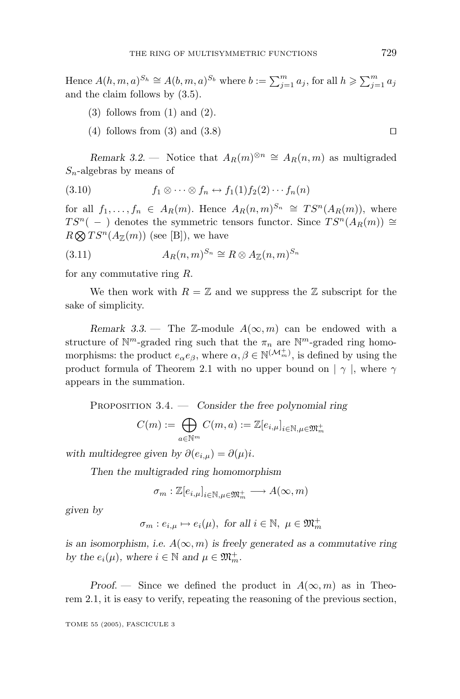Hence  $A(h, m, a)^{S_h} \cong A(b, m, a)^{S_b}$  where  $b := \sum_{j=1}^m a_j$ , for all  $h \ge \sum_{j=1}^m a_j$ and the claim follows by (3.5).

- $(3)$  follows from  $(1)$  and  $(2)$ .
- (4) follows from (3) and (3.8)  $\Box$

*Remark 3.2.* — Notice that  $A_R(m)^{\otimes n} \cong A_R(n,m)$  as multigraded *Sn*-algebras by means of

(3.10) 
$$
f_1 \otimes \cdots \otimes f_n \leftrightarrow f_1(1) f_2(2) \cdots f_n(n)
$$

for all  $f_1, \ldots, f_n \in A_R(m)$ . Hence  $A_R(n,m)^{S_n} \cong TS^n(A_R(m))$ , where *TS<sup>n</sup>*( − ) denotes the symmetric tensors functor. Since  $TS^n(A_R(m))$  ≃  $R \otimes TS^n(A_{\mathbb{Z}}(m))$  (see [B]), we have

(3.11) 
$$
A_R(n,m)^{S_n} \cong R \otimes A_{\mathbb{Z}}(n,m)^{S_n}
$$

for any commutative ring *R*.

We then work with  $R = \mathbb{Z}$  and we suppress the  $\mathbb{Z}$  subscript for the sake of simplicity.

*Remark 3.3.* — The  $\mathbb{Z}$ -module  $A(\infty, m)$  can be endowed with a structure of  $\mathbb{N}^m$ -graded ring such that the  $\pi_n$  are  $\mathbb{N}^m$ -graded ring homomorphisms: the product  $e_{\alpha}e_{\beta}$ , where  $\alpha, \beta \in \mathbb{N}^{(\mathcal{M}_{m}^{+})}$ , is defined by using the product formula of Theorem 2.1 with no upper bound on  $|\gamma|$ , where  $\gamma$ appears in the summation.

Proposition 3.4. — *Consider the free polynomial ring*

$$
C(m):=\bigoplus_{a\in{\mathbb N}^m}C(m,a):={\mathbb Z}[e_{i,\mu}]_{i\in{\mathbb N},\mu\in{\mathfrak M}_m^+}
$$

*with multidegree given by*  $\partial(e_{i,\mu}) = \partial(\mu)i$ .

*Then the multigraded ring homomorphism*

$$
\sigma_m: \mathbb{Z}[e_{i,\mu}]_{i\in\mathbb{N},\mu\in\mathfrak{M}_m^+}\longrightarrow A(\infty,m)
$$

*given by*

$$
\sigma_m : e_{i,\mu} \mapsto e_i(\mu)
$$
, for all  $i \in \mathbb{N}$ ,  $\mu \in \mathfrak{M}_m^+$ 

*is an isomorphism, i.e.*  $A(\infty, m)$  *is freely generated as a commutative ring by the*  $e_i(\mu)$ *, where*  $i \in \mathbb{N}$  and  $\mu \in \mathfrak{M}_m^+$ *.* 

*Proof.* — Since we defined the product in  $A(\infty, m)$  as in Theorem 2.1, it is easy to verify, repeating the reasoning of the previous section,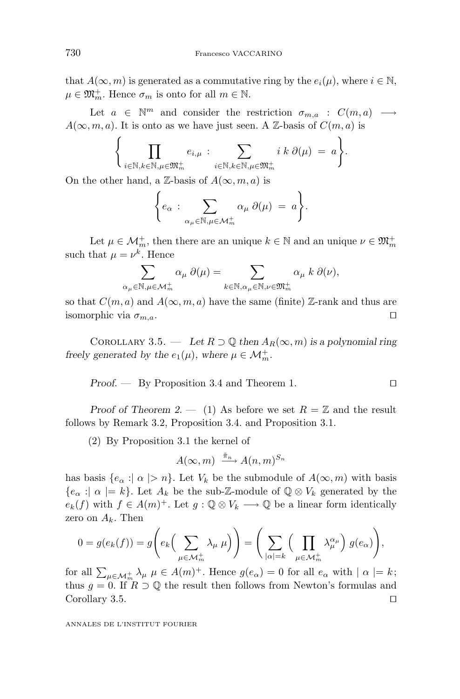that  $A(\infty, m)$  is generated as a commutative ring by the  $e_i(\mu)$ , where  $i \in \mathbb{N}$ ,  $\mu \in \mathfrak{M}_m^+$ . Hence  $\sigma_m$  is onto for all  $m \in \mathbb{N}$ .

Let  $a \in \mathbb{N}^m$  and consider the restriction  $\sigma_{m,a} : C(m,a) \longrightarrow$  $A(\infty, m, a)$ . It is onto as we have just seen. A Z-basis of  $C(m, a)$  is

$$
\Biggl\{\prod_{i\in\mathbb{N},k\in\mathbb{N},\mu\in\mathfrak{M}_m^+}e_{i,\mu}:\sum_{i\in\mathbb{N},k\in\mathbb{N},\mu\in\mathfrak{M}_m^+}i k\,\partial(\mu)=a\Biggr\}.
$$

On the other hand, a  $\mathbb{Z}$ -basis of  $A(\infty, m, a)$  is

$$
\bigg\{ e_{\alpha} : \sum_{\alpha_{\mu} \in \mathbb{N}, \mu \in \mathcal{M}_m^+} \alpha_{\mu} \, \partial(\mu) \ = \ a \bigg\}.
$$

Let  $\mu \in \mathcal{M}_m^+$ , then there are an unique  $k \in \mathbb{N}$  and an unique  $\nu \in \mathfrak{M}_m^+$ such that  $\mu = \nu^k$ . Hence

$$
\sum_{\alpha_{\mu} \in \mathbb{N}, \mu \in \mathcal{M}_m^+} \alpha_{\mu} \, \partial(\mu) = \sum_{k \in \mathbb{N}, \alpha_{\mu} \in \mathbb{N}, \nu \in \mathfrak{M}_m^+} \alpha_{\mu} \, k \, \partial(\nu),
$$

so that  $C(m, a)$  and  $A(\infty, m, a)$  have the same (finite) Z-rank and thus are isomorphic via *σm,a*.

COROLLARY 3.5. — Let  $R \supset \mathbb{Q}$  then  $A_R(\infty, m)$  is a polynomial ring *freely generated by the*  $e_1(\mu)$ *, where*  $\mu \in \mathcal{M}_m^+$ *.* 

Proof. 
$$
\qquad
$$
 By Proposition 3.4 and Theorem 1.  $\qquad \qquad \Box$ 

*Proof of Theorem 2.* — (1) As before we set  $R = \mathbb{Z}$  and the result follows by Remark 3.2, Proposition 3.4. and Proposition 3.1.

(2) By Proposition 3.1 the kernel of

$$
A(\infty, m) \xrightarrow{\tilde{\pi}_n} A(n,m)^{S_n}
$$

has basis  ${e_\alpha : |\alpha| > n}$ . Let  $V_k$  be the submodule of  $A(\infty, m)$  with basis  ${e_{\alpha} : \alpha \models k}.$  Let  $A_k$  be the sub-Z-module of  $\mathbb{Q} \otimes V_k$  generated by the  $e_k(f)$  with  $f \in A(m)^+$ . Let  $g : \mathbb{Q} \otimes V_k \longrightarrow \mathbb{Q}$  be a linear form identically zero on  $A_k$ . Then

$$
0 = g(e_k(f)) = g\left(e_k\left(\sum_{\mu \in \mathcal{M}_m^+} \lambda_{\mu} \mu\right)\right) = \left(\sum_{|\alpha|=k} \left(\prod_{\mu \in \mathcal{M}_m^+} \lambda_{\mu}^{\alpha_{\mu}}\right) g(e_{\alpha})\right),
$$

for all  $\sum_{\mu \in \mathcal{M}_m^+} \lambda_{\mu} \mu \in A(m)^+$ . Hence  $g(e_{\alpha}) = 0$  for all  $e_{\alpha}$  with  $| \alpha | = k$ ; thus  $g = 0$ . If  $R \supset \mathbb{Q}$  the result then follows from Newton's formulas and Corollary 3.5.